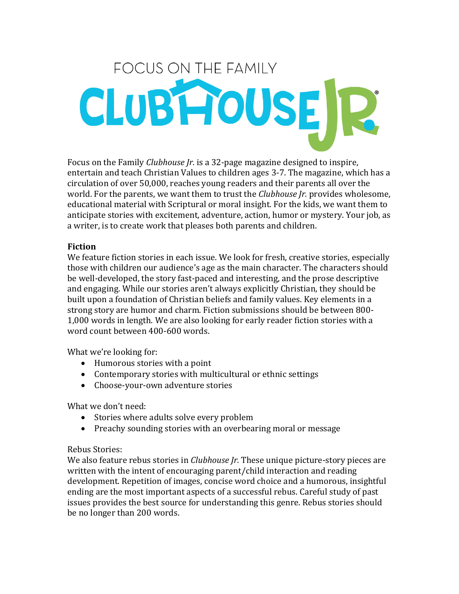# **FOCUS ON THE FAMILY** CLUBHOUSE R

Focus on the Family *Clubhouse Jr.* is a 32-page magazine designed to inspire, entertain and teach Christian Values to children ages 3-7. The magazine, which has a circulation of over 50,000, reaches young readers and their parents all over the world. For the parents, we want them to trust the *Clubhouse Jr.* provides wholesome, educational material with Scriptural or moral insight. For the kids, we want them to anticipate stories with excitement, adventure, action, humor or mystery. Your job, as a writer, is to create work that pleases both parents and children.

## **Fiction**

We feature fiction stories in each issue. We look for fresh, creative stories, especially those with children our audience's age as the main character. The characters should be well-developed, the story fast-paced and interesting, and the prose descriptive and engaging. While our stories aren't always explicitly Christian, they should be built upon a foundation of Christian beliefs and family values. Key elements in a strong story are humor and charm. Fiction submissions should be between 800- 1,000 words in length. We are also looking for early reader fiction stories with a word count between 400-600 words.

What we're looking for:

- Humorous stories with a point
- Contemporary stories with multicultural or ethnic settings
- Choose-your-own adventure stories

What we don't need:

- Stories where adults solve every problem
- Preachy sounding stories with an overbearing moral or message

#### Rebus Stories:

We also feature rebus stories in *Clubhouse Jr.* These unique picture-story pieces are written with the intent of encouraging parent/child interaction and reading development. Repetition of images, concise word choice and a humorous, insightful ending are the most important aspects of a successful rebus. Careful study of past issues provides the best source for understanding this genre. Rebus stories should be no longer than 200 words.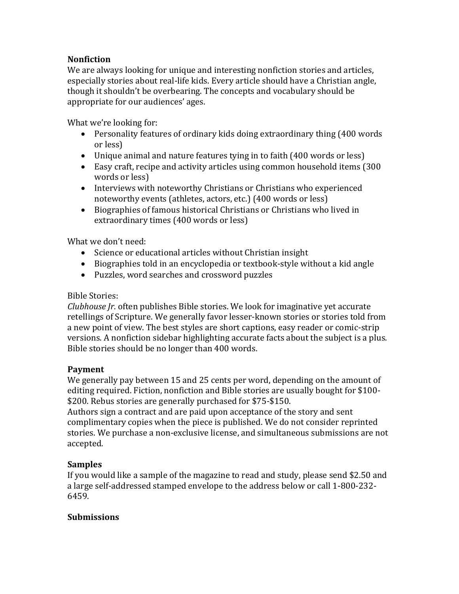## **Nonfiction**

We are always looking for unique and interesting nonfiction stories and articles, especially stories about real-life kids. Every article should have a Christian angle, though it shouldn't be overbearing. The concepts and vocabulary should be appropriate for our audiences' ages.

What we're looking for:

- Personality features of ordinary kids doing extraordinary thing (400 words or less)
- Unique animal and nature features tying in to faith (400 words or less)
- Easy craft, recipe and activity articles using common household items (300 words or less)
- Interviews with noteworthy Christians or Christians who experienced noteworthy events (athletes, actors, etc.) (400 words or less)
- Biographies of famous historical Christians or Christians who lived in extraordinary times (400 words or less)

What we don't need:

- Science or educational articles without Christian insight
- Biographies told in an encyclopedia or textbook-style without a kid angle
- Puzzles, word searches and crossword puzzles

#### Bible Stories:

*Clubhouse Jr.* often publishes Bible stories. We look for imaginative yet accurate retellings of Scripture. We generally favor lesser-known stories or stories told from a new point of view. The best styles are short captions, easy reader or comic-strip versions. A nonfiction sidebar highlighting accurate facts about the subject is a plus. Bible stories should be no longer than 400 words.

# **Payment**

We generally pay between 15 and 25 cents per word, depending on the amount of editing required. Fiction, nonfiction and Bible stories are usually bought for \$100- \$200. Rebus stories are generally purchased for \$75-\$150.

Authors sign a contract and are paid upon acceptance of the story and sent complimentary copies when the piece is published. We do not consider reprinted stories. We purchase a non-exclusive license, and simultaneous submissions are not accepted.

# **Samples**

If you would like a sample of the magazine to read and study, please send \$2.50 and a large self-addressed stamped envelope to the address below or call 1-800-232- 6459.

# **Submissions**